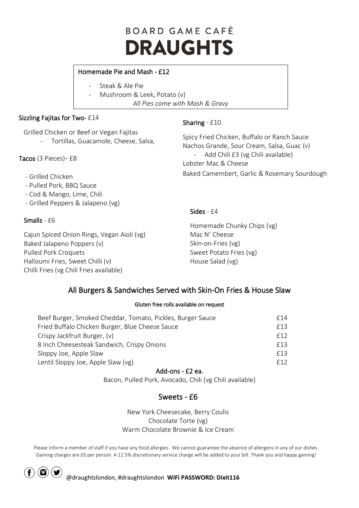# BOARD GAME CAFÉ **DRAUGHTS**

### Homemade Pie and Mash - £12

- Steak & Ale Pie
- Mushroom & Leek, Potato (v) *All Pies come with Mash & Gravy*

### Sizzling Fajitas for Two- £14

Grilled Chicken or Beef or Vegan Fajitas

- Tortillas, Guacamole, Cheese, Salsa,

Tacos (3 Pieces)- £8

- Grilled Chicken
- Pulled Pork, BBQ Sauce
- Cod & Mango, Lime, Chili
- Grilled Peppers & Jalapeno (vg)

### Smalls - £6

Cajun Spiced Onion Rings, Vegan Aioli (vg) Baked Jalapeno Poppers (v) Pulled Pork Croquets Halloumi Fries, Sweet Chilli (v) Chilli Fries (vg Chili Fries available)

### Sharing - £10

Spicy Fried Chicken, Buffalo or Ranch Sauce Nachos Grande, Sour Cream, Salsa, Guac (v) Add Chili £3 (vg Chili available) Lobster Mac & Cheese Baked Camembert, Garlic & Rosemary Sourdough

### Sides - £4

Homemade Chunky Chips (vg) Mac N' Cheese Skin-on-Fries (vg) Sweet Potato Fries (vg) House Salad (vg)

## All Burgers & Sandwiches Served with Skin-On Fries & House Slaw

#### Gluten free rolls available on request

| Beef Burger, Smoked Cheddar, Tomato, Pickles, Burger Sauce | f14                       |  |
|------------------------------------------------------------|---------------------------|--|
| Fried Buffalo Chicken Burger, Blue Cheese Sauce            | f13<br>f 12<br>f13<br>f13 |  |
| Crispy Jackfruit Burger, (v)                               |                           |  |
| 8 Inch Cheesesteak Sandwich, Crispy Onions                 |                           |  |
| Sloppy Joe, Apple Slaw                                     |                           |  |
| Lentil Sloppy Joe, Apple Slaw (vg)                         | f 12                      |  |
|                                                            |                           |  |

### Add-ons - £2 ea.

Bacon, Pulled Pork, Avocado, Chili (vg Chili available)

## Sweets - £6

New York Cheesecake, Berry Coulis Chocolate Torte (vg) Warm Chocolate Brownie & Ice Cream

Please inform a member of staff if you have any food allergies. We cannot guarantee the absence of allergens in any of our dishes. Gaming charges are £6 per person. A 12.5% discretionary service charge will be added to your bill. Thank you and happy gaming!